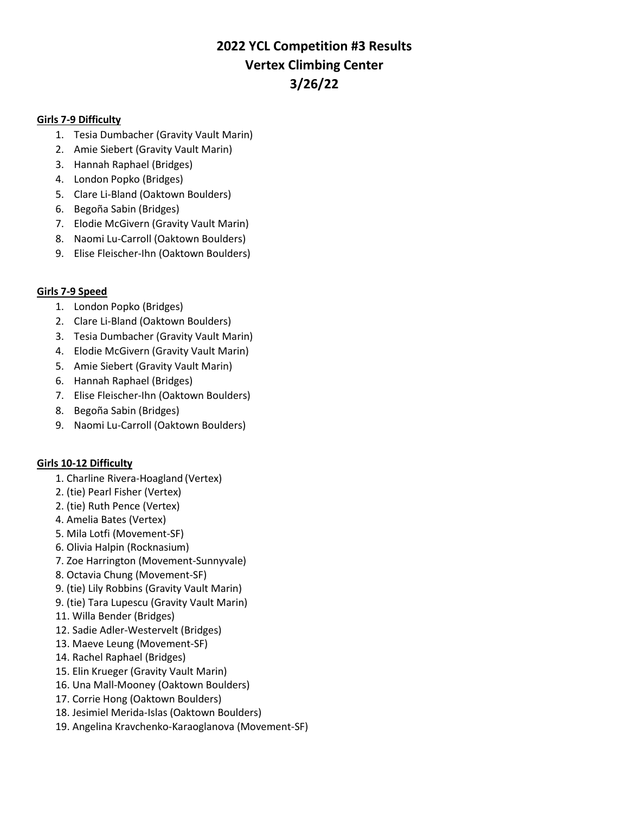# **2022 YCL Competition #3 Results Vertex Climbing Center 3/26/22**

### **Girls 7-9 Difficulty**

- 1. Tesia Dumbacher (Gravity Vault Marin)
- 2. Amie Siebert (Gravity Vault Marin)
- 3. Hannah Raphael (Bridges)
- 4. London Popko (Bridges)
- 5. Clare Li-Bland (Oaktown Boulders)
- 6. Begoña Sabin (Bridges)
- 7. Elodie McGivern (Gravity Vault Marin)
- 8. Naomi Lu-Carroll (Oaktown Boulders)
- 9. Elise Fleischer-Ihn (Oaktown Boulders)

## **Girls 7-9 Speed**

- 1. London Popko (Bridges)
- 2. Clare Li-Bland (Oaktown Boulders)
- 3. Tesia Dumbacher (Gravity Vault Marin)
- 4. Elodie McGivern (Gravity Vault Marin)
- 5. Amie Siebert (Gravity Vault Marin)
- 6. Hannah Raphael (Bridges)
- 7. Elise Fleischer-Ihn (Oaktown Boulders)
- 8. Begoña Sabin (Bridges)
- 9. Naomi Lu-Carroll (Oaktown Boulders)

## **Girls 10-12 Difficulty**

- 1. Charline Rivera-Hoagland (Vertex)
- 2. (tie) Pearl Fisher (Vertex)
- 2. (tie) Ruth Pence (Vertex)
- 4. Amelia Bates (Vertex)
- 5. Mila Lotfi (Movement-SF)
- 6. Olivia Halpin (Rocknasium)
- 7. Zoe Harrington (Movement-Sunnyvale)
- 8. Octavia Chung (Movement-SF)
- 9. (tie) Lily Robbins (Gravity Vault Marin)
- 9. (tie) Tara Lupescu (Gravity Vault Marin)
- 11. Willa Bender (Bridges)
- 12. Sadie Adler-Westervelt (Bridges)
- 13. Maeve Leung (Movement-SF)
- 14. Rachel Raphael (Bridges)
- 15. Elin Krueger (Gravity Vault Marin)
- 16. Una Mall-Mooney (Oaktown Boulders)
- 17. Corrie Hong (Oaktown Boulders)
- 18. Jesimiel Merida-Islas (Oaktown Boulders)
- 19. Angelina Kravchenko-Karaoglanova (Movement-SF)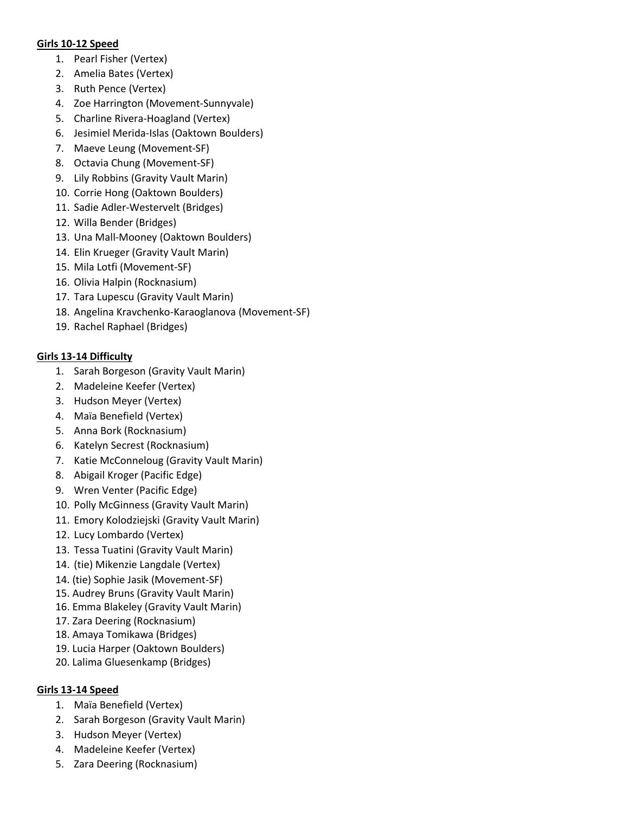#### **Girls 10-12 Speed**

- 1. Pearl Fisher (Vertex)
- 2. Amelia Bates (Vertex)
- 3. Ruth Pence (Vertex)
- 4. Zoe Harrington (Movement-Sunnyvale)
- 5. Charline Rivera-Hoagland (Vertex)
- 6. Jesimiel Merida-Islas (Oaktown Boulders)
- 7. Maeve Leung (Movement-SF)
- 8. Octavia Chung (Movement-SF)
- 9. Lily Robbins (Gravity Vault Marin)
- 10. Corrie Hong (Oaktown Boulders)
- 11. Sadie Adler-Westervelt (Bridges)
- 12. Willa Bender (Bridges)
- 13. Una Mall-Mooney (Oaktown Boulders)
- 14. Elin Krueger (Gravity Vault Marin)
- 15. Mila Lotfi (Movement-SF)
- 16. Olivia Halpin (Rocknasium)
- 17. Tara Lupescu (Gravity Vault Marin)
- 18. Angelina Kravchenko-Karaoglanova (Movement-SF)
- 19. Rachel Raphael (Bridges)

#### **Girls 13-14 Difficulty**

- 1. Sarah Borgeson (Gravity Vault Marin)
- 2. Madeleine Keefer (Vertex)
- 3. Hudson Meyer (Vertex)
- 4. Maïa Benefield (Vertex)
- 5. Anna Bork (Rocknasium)
- 6. Katelyn Secrest (Rocknasium)
- 7. Katie McConneloug (Gravity Vault Marin)
- 8. Abigail Kroger (Pacific Edge)
- 9. Wren Venter (Pacific Edge)
- 10. Polly McGinness (Gravity Vault Marin)
- 11. Emory Kolodziejski (Gravity Vault Marin)
- 12. Lucy Lombardo (Vertex)
- 13. Tessa Tuatini (Gravity Vault Marin)
- 14. (tie) Mikenzie Langdale (Vertex)
- 14. (tie) Sophie Jasik (Movement-SF)
- 15. Audrey Bruns (Gravity Vault Marin)
- 16. Emma Blakeley (Gravity Vault Marin)
- 17. Zara Deering (Rocknasium)
- 18. Amaya Tomikawa (Bridges)
- 19. Lucia Harper (Oaktown Boulders)
- 20. Lalima Gluesenkamp (Bridges)

#### **Girls 13-14 Speed**

- 1. Maïa Benefield (Vertex)
- 2. Sarah Borgeson (Gravity Vault Marin)
- 3. Hudson Meyer (Vertex)
- 4. Madeleine Keefer (Vertex)
- 5. Zara Deering (Rocknasium)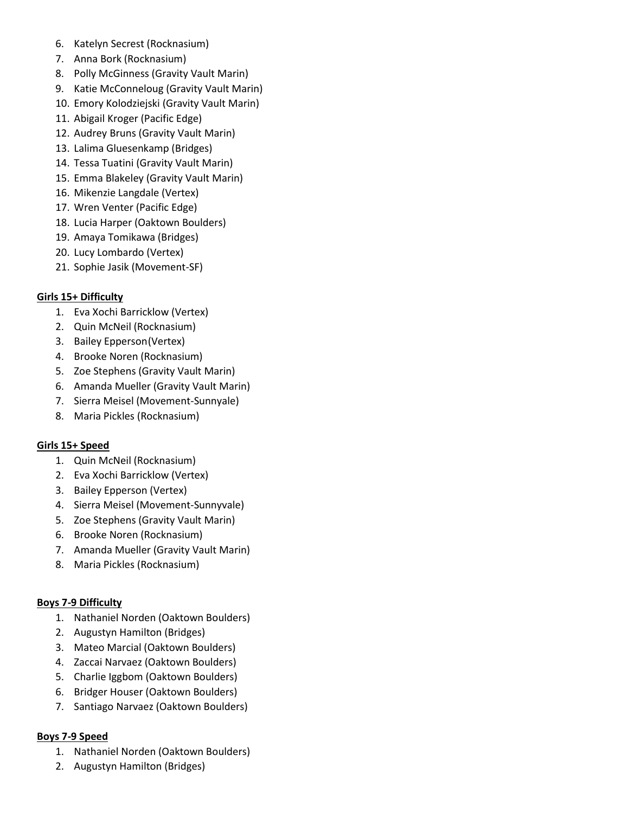- 6. Katelyn Secrest (Rocknasium)
- 7. Anna Bork (Rocknasium)
- 8. Polly McGinness (Gravity Vault Marin)
- 9. Katie McConneloug (Gravity Vault Marin)
- 10. Emory Kolodziejski (Gravity Vault Marin)
- 11. Abigail Kroger (Pacific Edge)
- 12. Audrey Bruns (Gravity Vault Marin)
- 13. Lalima Gluesenkamp (Bridges)
- 14. Tessa Tuatini (Gravity Vault Marin)
- 15. Emma Blakeley (Gravity Vault Marin)
- 16. Mikenzie Langdale (Vertex)
- 17. Wren Venter (Pacific Edge)
- 18. Lucia Harper (Oaktown Boulders)
- 19. Amaya Tomikawa (Bridges)
- 20. Lucy Lombardo (Vertex)
- 21. Sophie Jasik (Movement-SF)

### **Girls 15+ Difficulty**

- 1. Eva Xochi Barricklow (Vertex)
- 2. Quin McNeil (Rocknasium)
- 3. Bailey Epperson(Vertex)
- 4. Brooke Noren (Rocknasium)
- 5. Zoe Stephens (Gravity Vault Marin)
- 6. Amanda Mueller (Gravity Vault Marin)
- 7. Sierra Meisel (Movement-Sunnyale)
- 8. Maria Pickles (Rocknasium)

#### **Girls 15+ Speed**

- 1. Quin McNeil (Rocknasium)
- 2. Eva Xochi Barricklow (Vertex)
- 3. Bailey Epperson (Vertex)
- 4. Sierra Meisel (Movement-Sunnyvale)
- 5. Zoe Stephens (Gravity Vault Marin)
- 6. Brooke Noren (Rocknasium)
- 7. Amanda Mueller (Gravity Vault Marin)
- 8. Maria Pickles (Rocknasium)

#### **Boys 7-9 Difficulty**

- 1. Nathaniel Norden (Oaktown Boulders)
- 2. Augustyn Hamilton (Bridges)
- 3. Mateo Marcial (Oaktown Boulders)
- 4. Zaccai Narvaez (Oaktown Boulders)
- 5. Charlie Iggbom (Oaktown Boulders)
- 6. Bridger Houser (Oaktown Boulders)
- 7. Santiago Narvaez (Oaktown Boulders)

#### **Boys 7-9 Speed**

- 1. Nathaniel Norden (Oaktown Boulders)
- 2. Augustyn Hamilton (Bridges)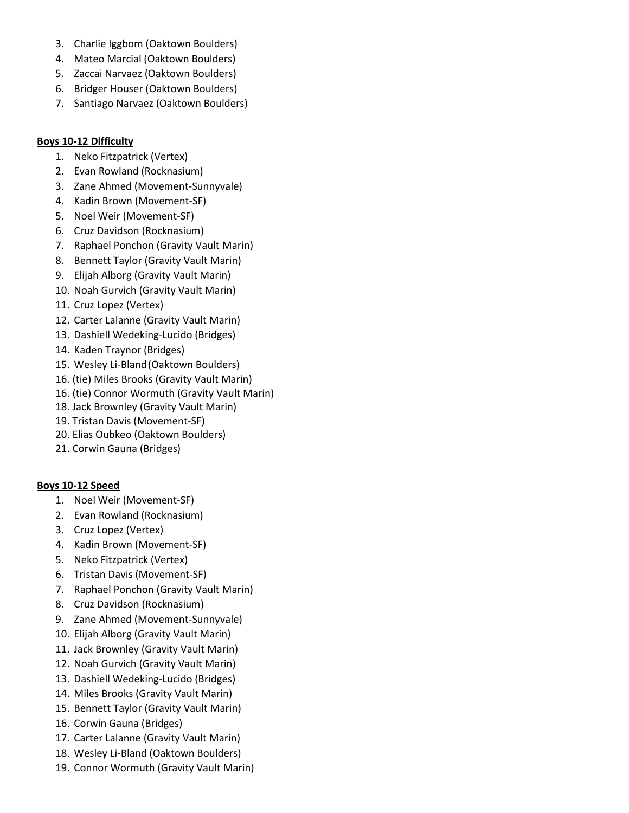- 3. Charlie Iggbom (Oaktown Boulders)
- 4. Mateo Marcial (Oaktown Boulders)
- 5. Zaccai Narvaez (Oaktown Boulders)
- 6. Bridger Houser (Oaktown Boulders)
- 7. Santiago Narvaez (Oaktown Boulders)

# **Boys 10-12 Difficulty**

- 1. Neko Fitzpatrick (Vertex)
- 2. Evan Rowland (Rocknasium)
- 3. Zane Ahmed (Movement-Sunnyvale)
- 4. Kadin Brown (Movement-SF)
- 5. Noel Weir (Movement-SF)
- 6. Cruz Davidson (Rocknasium)
- 7. Raphael Ponchon (Gravity Vault Marin)
- 8. Bennett Taylor (Gravity Vault Marin)
- 9. Elijah Alborg (Gravity Vault Marin)
- 10. Noah Gurvich (Gravity Vault Marin)
- 11. Cruz Lopez (Vertex)
- 12. Carter Lalanne (Gravity Vault Marin)
- 13. Dashiell Wedeking-Lucido (Bridges)
- 14. Kaden Traynor (Bridges)
- 15. Wesley Li-Bland(Oaktown Boulders)
- 16. (tie) Miles Brooks (Gravity Vault Marin)
- 16. (tie) Connor Wormuth (Gravity Vault Marin)
- 18. Jack Brownley (Gravity Vault Marin)
- 19. Tristan Davis (Movement-SF)
- 20. Elias Oubkeo (Oaktown Boulders)
- 21. Corwin Gauna (Bridges)

# **Boys 10-12 Speed**

- 1. Noel Weir (Movement-SF)
- 2. Evan Rowland (Rocknasium)
- 3. Cruz Lopez (Vertex)
- 4. Kadin Brown (Movement-SF)
- 5. Neko Fitzpatrick (Vertex)
- 6. Tristan Davis (Movement-SF)
- 7. Raphael Ponchon (Gravity Vault Marin)
- 8. Cruz Davidson (Rocknasium)
- 9. Zane Ahmed (Movement-Sunnyvale)
- 10. Elijah Alborg (Gravity Vault Marin)
- 11. Jack Brownley (Gravity Vault Marin)
- 12. Noah Gurvich (Gravity Vault Marin)
- 13. Dashiell Wedeking-Lucido (Bridges)
- 14. Miles Brooks (Gravity Vault Marin)
- 15. Bennett Taylor (Gravity Vault Marin)
- 16. Corwin Gauna (Bridges)
- 17. Carter Lalanne (Gravity Vault Marin)
- 18. Wesley Li-Bland (Oaktown Boulders)
- 19. Connor Wormuth (Gravity Vault Marin)